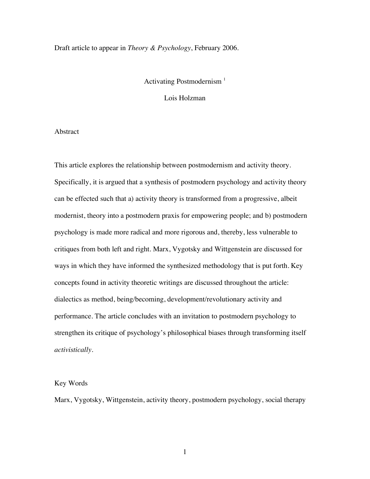### Draft article to appear in *Theory & Psychology*, February 2006.

Activating Postmodernism<sup>1</sup>

Lois Holzman

## Abstract

This article explores the relationship between postmodernism and activity theory. Specifically, it is argued that a synthesis of postmodern psychology and activity theory can be effected such that a) activity theory is transformed from a progressive, albeit modernist, theory into a postmodern praxis for empowering people; and b) postmodern psychology is made more radical and more rigorous and, thereby, less vulnerable to critiques from both left and right. Marx, Vygotsky and Wittgenstein are discussed for ways in which they have informed the synthesized methodology that is put forth. Key concepts found in activity theoretic writings are discussed throughout the article: dialectics as method, being/becoming, development/revolutionary activity and performance. The article concludes with an invitation to postmodern psychology to strengthen its critique of psychology's philosophical biases through transforming itself *activistically*.

# Key Words

Marx, Vygotsky, Wittgenstein, activity theory, postmodern psychology, social therapy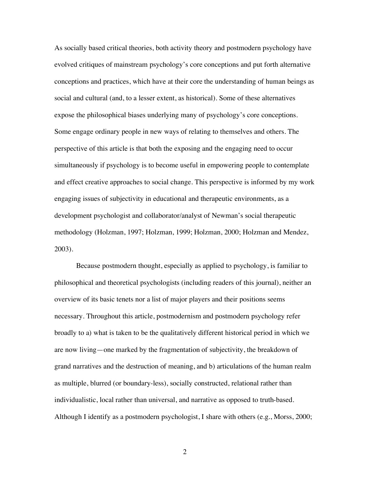As socially based critical theories, both activity theory and postmodern psychology have evolved critiques of mainstream psychology's core conceptions and put forth alternative conceptions and practices, which have at their core the understanding of human beings as social and cultural (and, to a lesser extent, as historical). Some of these alternatives expose the philosophical biases underlying many of psychology's core conceptions. Some engage ordinary people in new ways of relating to themselves and others. The perspective of this article is that both the exposing and the engaging need to occur simultaneously if psychology is to become useful in empowering people to contemplate and effect creative approaches to social change. This perspective is informed by my work engaging issues of subjectivity in educational and therapeutic environments, as a development psychologist and collaborator/analyst of Newman's social therapeutic methodology (Holzman, 1997; Holzman, 1999; Holzman, 2000; Holzman and Mendez, 2003).

Because postmodern thought, especially as applied to psychology, is familiar to philosophical and theoretical psychologists (including readers of this journal), neither an overview of its basic tenets nor a list of major players and their positions seems necessary. Throughout this article, postmodernism and postmodern psychology refer broadly to a) what is taken to be the qualitatively different historical period in which we are now living—one marked by the fragmentation of subjectivity, the breakdown of grand narratives and the destruction of meaning, and b) articulations of the human realm as multiple, blurred (or boundary-less), socially constructed, relational rather than individualistic, local rather than universal, and narrative as opposed to truth-based. Although I identify as a postmodern psychologist, I share with others (e.g., Morss, 2000;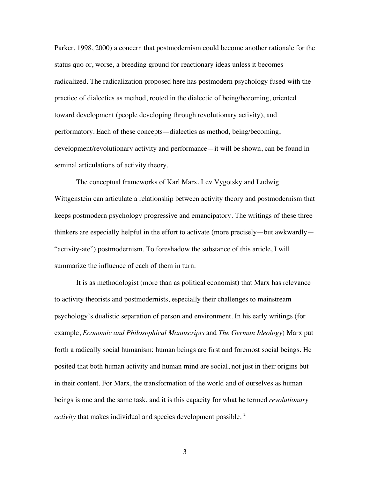Parker, 1998, 2000) a concern that postmodernism could become another rationale for the status quo or, worse, a breeding ground for reactionary ideas unless it becomes radicalized. The radicalization proposed here has postmodern psychology fused with the practice of dialectics as method, rooted in the dialectic of being/becoming, oriented toward development (people developing through revolutionary activity), and performatory. Each of these concepts—dialectics as method, being/becoming, development/revolutionary activity and performance—it will be shown, can be found in seminal articulations of activity theory.

The conceptual frameworks of Karl Marx, Lev Vygotsky and Ludwig Wittgenstein can articulate a relationship between activity theory and postmodernism that keeps postmodern psychology progressive and emancipatory. The writings of these three thinkers are especially helpful in the effort to activate (more precisely—but awkwardly— "activity-ate") postmodernism. To foreshadow the substance of this article, I will summarize the influence of each of them in turn.

It is as methodologist (more than as political economist) that Marx has relevance to activity theorists and postmodernists, especially their challenges to mainstream psychology's dualistic separation of person and environment. In his early writings (for example, *Economic and Philosophical Manuscripts* and *The German Ideology*) Marx put forth a radically social humanism: human beings are first and foremost social beings. He posited that both human activity and human mind are social, not just in their origins but in their content. For Marx, the transformation of the world and of ourselves as human beings is one and the same task, and it is this capacity for what he termed *revolutionary activity* that makes individual and species development possible.<sup>2</sup>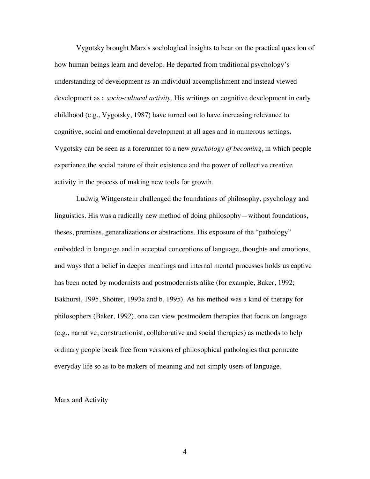Vygotsky brought Marx's sociological insights to bear on the practical question of how human beings learn and develop. He departed from traditional psychology's understanding of development as an individual accomplishment and instead viewed development as a *socio-cultural activity*. His writings on cognitive development in early childhood (e.g., Vygotsky, 1987) have turned out to have increasing relevance to cognitive, social and emotional development at all ages and in numerous settings**.** Vygotsky can be seen as a forerunner to a new *psychology of becoming*, in which people experience the social nature of their existence and the power of collective creative activity in the process of making new tools for growth.

Ludwig Wittgenstein challenged the foundations of philosophy, psychology and linguistics. His was a radically new method of doing philosophy—without foundations, theses, premises, generalizations or abstractions. His exposure of the "pathology" embedded in language and in accepted conceptions of language, thoughts and emotions, and ways that a belief in deeper meanings and internal mental processes holds us captive has been noted by modernists and postmodernists alike (for example, Baker, 1992; Bakhurst, 1995, Shotter, 1993a and b, 1995). As his method was a kind of therapy for philosophers (Baker, 1992), one can view postmodern therapies that focus on language (e.g., narrative, constructionist, collaborative and social therapies) as methods to help ordinary people break free from versions of philosophical pathologies that permeate everyday life so as to be makers of meaning and not simply users of language.

#### Marx and Activity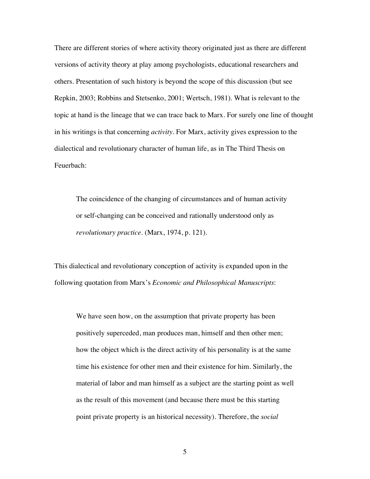There are different stories of where activity theory originated just as there are different versions of activity theory at play among psychologists, educational researchers and others. Presentation of such history is beyond the scope of this discussion (but see Repkin, 2003; Robbins and Stetsenko, 2001; Wertsch, 1981). What is relevant to the topic at hand is the lineage that we can trace back to Marx. For surely one line of thought in his writings is that concerning *activity*. For Marx, activity gives expression to the dialectical and revolutionary character of human life, as in The Third Thesis on Feuerbach:

The coincidence of the changing of circumstances and of human activity or self-changing can be conceived and rationally understood only as *revolutionary practice*. (Marx, 1974, p. 121).

This dialectical and revolutionary conception of activity is expanded upon in the following quotation from Marx's *Economic and Philosophical Manuscripts*:

We have seen how, on the assumption that private property has been positively superceded, man produces man, himself and then other men; how the object which is the direct activity of his personality is at the same time his existence for other men and their existence for him. Similarly, the material of labor and man himself as a subject are the starting point as well as the result of this movement (and because there must be this starting point private property is an historical necessity). Therefore, the *social*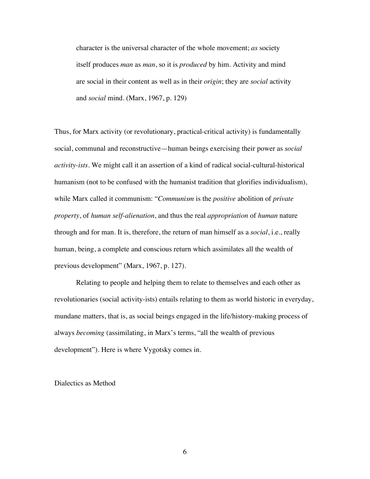character is the universal character of the whole movement; *as* society itself produces *man* as *man*, so it is *produced* by him. Activity and mind are social in their content as well as in their *origin*; they are *social* activity and *social* mind. (Marx, 1967, p. 129)

Thus, for Marx activity (or revolutionary, practical-critical activity) is fundamentally social, communal and reconstructive—human beings exercising their power as *social activity-ists*. We might call it an assertion of a kind of radical social-cultural-historical humanism (not to be confused with the humanist tradition that glorifies individualism), while Marx called it communism: "*Communism* is the *positive* abolition of *private property*, of *human self-alienation*, and thus the real *appropriation* of *human* nature through and for man. It is, therefore, the return of man himself as a *social*, i.e., really human, being, a complete and conscious return which assimilates all the wealth of previous development" (Marx, 1967, p. 127).

Relating to people and helping them to relate to themselves and each other as revolutionaries (social activity-ists) entails relating to them as world historic in everyday, mundane matters, that is, as social beings engaged in the life/history-making process of always *becoming* (assimilating, in Marx's terms, "all the wealth of previous development"). Here is where Vygotsky comes in.

Dialectics as Method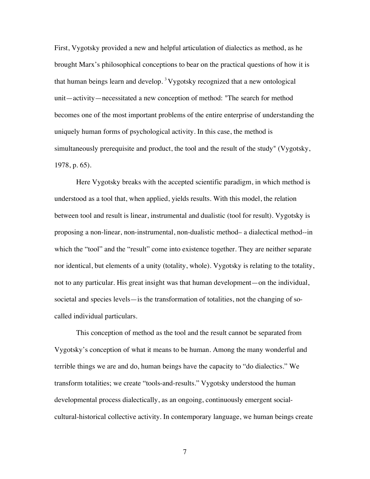First, Vygotsky provided a new and helpful articulation of dialectics as method, as he brought Marx's philosophical conceptions to bear on the practical questions of how it is that human beings learn and develop.<sup>3</sup> Vygotsky recognized that a new ontological unit—activity—necessitated a new conception of method: "The search for method becomes one of the most important problems of the entire enterprise of understanding the uniquely human forms of psychological activity. In this case, the method is simultaneously prerequisite and product, the tool and the result of the study" (Vygotsky, 1978, p. 65).

Here Vygotsky breaks with the accepted scientific paradigm, in which method is understood as a tool that, when applied, yields results. With this model, the relation between tool and result is linear, instrumental and dualistic (tool for result). Vygotsky is proposing a non-linear, non-instrumental, non-dualistic method– a dialectical method--in which the "tool" and the "result" come into existence together. They are neither separate nor identical, but elements of a unity (totality, whole). Vygotsky is relating to the totality, not to any particular. His great insight was that human development—on the individual, societal and species levels—is the transformation of totalities, not the changing of socalled individual particulars.

This conception of method as the tool and the result cannot be separated from Vygotsky's conception of what it means to be human. Among the many wonderful and terrible things we are and do, human beings have the capacity to "do dialectics." We transform totalities; we create "tools-and-results." Vygotsky understood the human developmental process dialectically, as an ongoing, continuously emergent socialcultural-historical collective activity. In contemporary language, we human beings create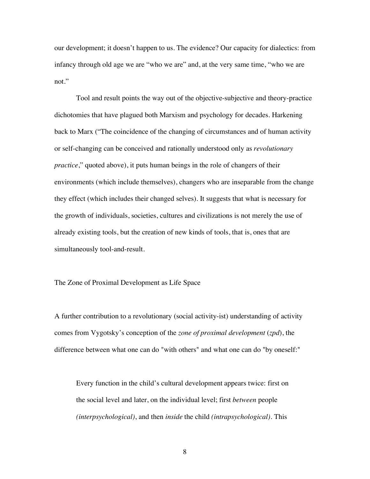our development; it doesn't happen to us. The evidence? Our capacity for dialectics: from infancy through old age we are "who we are" and, at the very same time, "who we are not."

Tool and result points the way out of the objective-subjective and theory-practice dichotomies that have plagued both Marxism and psychology for decades. Harkening back to Marx ("The coincidence of the changing of circumstances and of human activity or self-changing can be conceived and rationally understood only as *revolutionary practice*," quoted above), it puts human beings in the role of changers of their environments (which include themselves), changers who are inseparable from the change they effect (which includes their changed selves). It suggests that what is necessary for the growth of individuals, societies, cultures and civilizations is not merely the use of already existing tools, but the creation of new kinds of tools, that is, ones that are simultaneously tool-and-result.

The Zone of Proximal Development as Life Space

A further contribution to a revolutionary (social activity-ist) understanding of activity comes from Vygotsky's conception of the *zone of proximal development* (*zpd*), the difference between what one can do "with others" and what one can do "by oneself:"

Every function in the child's cultural development appears twice: first on the social level and later, on the individual level; first *between* people *(interpsychological)*, and then *inside* the child *(intrapsychological)*. This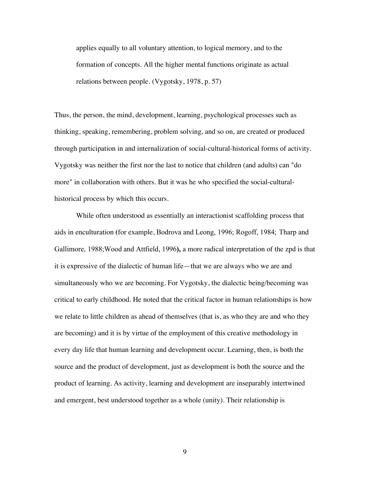applies equally to all voluntary attention, to logical memory, and to the formation of concepts. All the higher mental functions originate as actual relations between people. (Vygotsky, 1978, p. 57)

Thus, the person, the mind, development, learning, psychological processes such as thinking, speaking, remembering, problem solving, and so on, are created or produced through participation in and internalization of social-cultural-historical forms of activity. Vygotsky was neither the first nor the last to notice that children (and adults) can "do more" in collaboration with others. But it was he who specified the social-culturalhistorical process by which this occurs.

While often understood as essentially an interactionist scaffolding process that aids in enculturation **(**for example, Bodrova and Leong, 1996; Rogoff, 1984; Tharp and Gallimore, 1988;Wood and Attfield, 1996**),** a more radical interpretation of the zpd is that it is expressive of the dialectic of human life—that we are always who we are and simultaneously who we are becoming. For Vygotsky, the dialectic being/becoming was critical to early childhood. He noted that the critical factor in human relationships is how we relate to little children as ahead of themselves (that is, as who they are and who they are becoming) and it is by virtue of the employment of this creative methodology in every day life that human learning and development occur. Learning, then, is both the source and the product of development, just as development is both the source and the product of learning. As activity, learning and development are inseparably intertwined and emergent, best understood together as a whole (unity). Their relationship is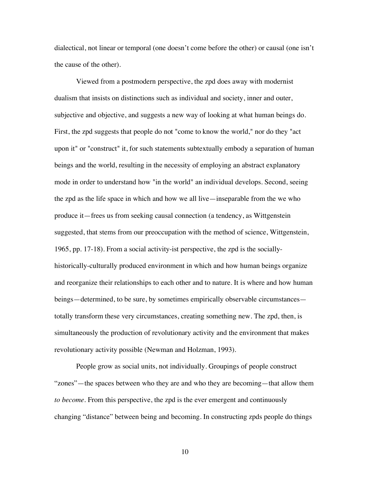dialectical, not linear or temporal (one doesn't come before the other) or causal (one isn't the cause of the other).

Viewed from a postmodern perspective, the zpd does away with modernist dualism that insists on distinctions such as individual and society, inner and outer, subjective and objective, and suggests a new way of looking at what human beings do. First, the zpd suggests that people do not "come to know the world," nor do they "act upon it" or "construct" it, for such statements subtextually embody a separation of human beings and the world, resulting in the necessity of employing an abstract explanatory mode in order to understand how "in the world" an individual develops. Second, seeing the zpd as the life space in which and how we all live—inseparable from the we who produce it—frees us from seeking causal connection (a tendency, as Wittgenstein suggested, that stems from our preoccupation with the method of science, Wittgenstein, 1965, pp. 17-18). From a social activity-ist perspective, the zpd is the sociallyhistorically-culturally produced environment in which and how human beings organize and reorganize their relationships to each other and to nature. It is where and how human beings—determined, to be sure, by sometimes empirically observable circumstances totally transform these very circumstances, creating something new. The zpd, then, is simultaneously the production of revolutionary activity and the environment that makes revolutionary activity possible (Newman and Holzman, 1993).

People grow as social units, not individually. Groupings of people construct "zones"—the spaces between who they are and who they are becoming—that allow them *to become*. From this perspective, the zpd is the ever emergent and continuously changing "distance" between being and becoming. In constructing zpds people do things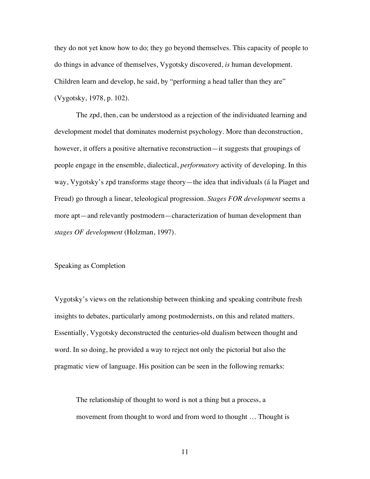they do not yet know how to do; they go beyond themselves. This capacity of people to do things in advance of themselves, Vygotsky discovered, *is* human development. Children learn and develop, he said, by "performing a head taller than they are" (Vygotsky, 1978, p. 102).

The zpd, then, can be understood as a rejection of the individuated learning and development model that dominates modernist psychology. More than deconstruction, however, it offers a positive alternative reconstruction—it suggests that groupings of people engage in the ensemble, dialectical, *performatory* activity of developing. In this way, Vygotsky's zpd transforms stage theory—the idea that individuals (á la Piaget and Freud) go through a linear, teleological progression. *Stages FOR development* seems a more apt—and relevantly postmodern—characterization of human development than *stages OF development* (Holzman, 1997).

## Speaking as Completion

Vygotsky's views on the relationship between thinking and speaking contribute fresh insights to debates, particularly among postmodernists, on this and related matters. Essentially, Vygotsky deconstructed the centuries-old dualism between thought and word. In so doing, he provided a way to reject not only the pictorial but also the pragmatic view of language. His position can be seen in the following remarks:

The relationship of thought to word is not a thing but a process, a movement from thought to word and from word to thought … Thought is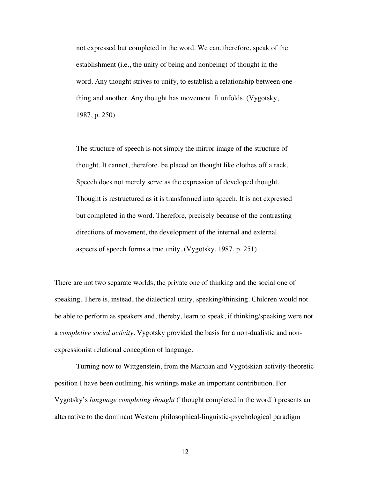not expressed but completed in the word. We can, therefore, speak of the establishment (i.e., the unity of being and nonbeing) of thought in the word. Any thought strives to unify, to establish a relationship between one thing and another. Any thought has movement. It unfolds. (Vygotsky, 1987, p. 250)

The structure of speech is not simply the mirror image of the structure of thought. It cannot, therefore, be placed on thought like clothes off a rack. Speech does not merely serve as the expression of developed thought. Thought is restructured as it is transformed into speech. It is not expressed but completed in the word. Therefore, precisely because of the contrasting directions of movement, the development of the internal and external aspects of speech forms a true unity. (Vygotsky, 1987, p. 251)

There are not two separate worlds, the private one of thinking and the social one of speaking. There is, instead, the dialectical unity, speaking/thinking. Children would not be able to perform as speakers and, thereby, learn to speak, if thinking/speaking were not a *completive social activity*. Vygotsky provided the basis for a non-dualistic and nonexpressionist relational conception of language.

Turning now to Wittgenstein, from the Marxian and Vygotskian activity-theoretic position I have been outlining, his writings make an important contribution. For Vygotsky's *language completing thought* ("thought completed in the word") presents an alternative to the dominant Western philosophical-linguistic-psychological paradigm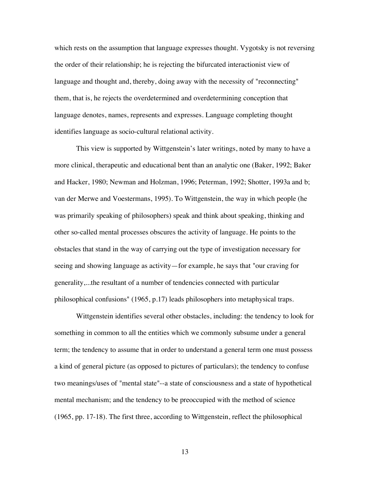which rests on the assumption that language expresses thought. Vygotsky is not reversing the order of their relationship; he is rejecting the bifurcated interactionist view of language and thought and, thereby, doing away with the necessity of "reconnecting" them, that is, he rejects the overdetermined and overdetermining conception that language denotes, names, represents and expresses. Language completing thought identifies language as socio-cultural relational activity.

This view is supported by Wittgenstein's later writings, noted by many to have a more clinical, therapeutic and educational bent than an analytic one (Baker, 1992; Baker and Hacker, 1980; Newman and Holzman, 1996; Peterman, 1992; Shotter, 1993a and b; van der Merwe and Voestermans, 1995). To Wittgenstein, the way in which people (he was primarily speaking of philosophers) speak and think about speaking, thinking and other so-called mental processes obscures the activity of language. He points to the obstacles that stand in the way of carrying out the type of investigation necessary for seeing and showing language as activity—for example, he says that "our craving for generality,...the resultant of a number of tendencies connected with particular philosophical confusions" (1965, p.17) leads philosophers into metaphysical traps.

Wittgenstein identifies several other obstacles, including: the tendency to look for something in common to all the entities which we commonly subsume under a general term; the tendency to assume that in order to understand a general term one must possess a kind of general picture (as opposed to pictures of particulars); the tendency to confuse two meanings/uses of "mental state"--a state of consciousness and a state of hypothetical mental mechanism; and the tendency to be preoccupied with the method of science (1965, pp. 17-18). The first three, according to Wittgenstein, reflect the philosophical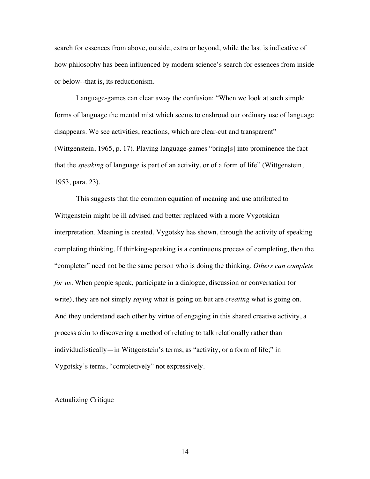search for essences from above, outside, extra or beyond, while the last is indicative of how philosophy has been influenced by modern science's search for essences from inside or below--that is, its reductionism.

Language-games can clear away the confusion: "When we look at such simple forms of language the mental mist which seems to enshroud our ordinary use of language disappears. We see activities, reactions, which are clear-cut and transparent" (Wittgenstein, 1965, p. 17). Playing language-games "bring[s] into prominence the fact that the *speaking* of language is part of an activity, or of a form of life" (Wittgenstein, 1953, para. 23).

This suggests that the common equation of meaning and use attributed to Wittgenstein might be ill advised and better replaced with a more Vygotskian interpretation. Meaning is created, Vygotsky has shown, through the activity of speaking completing thinking. If thinking-speaking is a continuous process of completing, then the "completer" need not be the same person who is doing the thinking. *Others can complete for us*. When people speak, participate in a dialogue, discussion or conversation (or write), they are not simply *saying* what is going on but are *creating* what is going on. And they understand each other by virtue of engaging in this shared creative activity, a process akin to discovering a method of relating to talk relationally rather than individualistically—in Wittgenstein's terms, as "activity, or a form of life;" in Vygotsky's terms, "completively" not expressively.

#### Actualizing Critique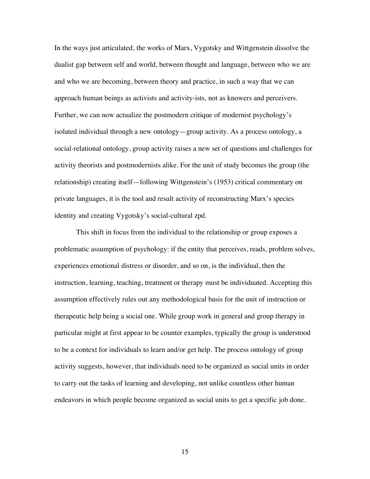In the ways just articulated, the works of Marx, Vygotsky and Wittgenstein dissolve the dualist gap between self and world, between thought and language, between who we are and who we are becoming, between theory and practice, in such a way that we can approach human beings as activists and activity-ists, not as knowers and perceivers. Further, we can now actualize the postmodern critique of modernist psychology's isolated individual through a new ontology—group activity. As a process ontology, a social-relational ontology, group activity raises a new set of questions and challenges for activity theorists and postmodernists alike. For the unit of study becomes the group (the relationship) creating itself—following Wittgenstein's (1953) critical commentary on private languages, it is the tool and result activity of reconstructing Marx's species identity and creating Vygotsky's social-cultural zpd.

This shift in focus from the individual to the relationship or group exposes a problematic assumption of psychology: if the entity that perceives, reads, problem solves, experiences emotional distress or disorder, and so on, is the individual, then the instruction, learning, teaching, treatment or therapy must be individuated. Accepting this assumption effectively rules out any methodological basis for the unit of instruction or therapeutic help being a social one. While group work in general and group therapy in particular might at first appear to be counter examples, typically the group is understood to be a context for individuals to learn and/or get help. The process ontology of group activity suggests, however, that individuals need to be organized as social units in order to carry out the tasks of learning and developing, not unlike countless other human endeavors in which people become organized as social units to get a specific job done.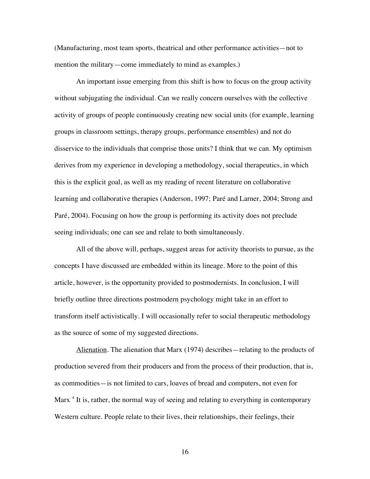(Manufacturing, most team sports, theatrical and other performance activities—not to mention the military—come immediately to mind as examples.)

An important issue emerging from this shift is how to focus on the group activity without subjugating the individual. Can we really concern ourselves with the collective activity of groups of people continuously creating new social units (for example, learning groups in classroom settings, therapy groups, performance ensembles) and not do disservice to the individuals that comprise those units? I think that we can. My optimism derives from my experience in developing a methodology, social therapeutics, in which this is the explicit goal, as well as my reading of recent literature on collaborative learning and collaborative therapies (Anderson, 1997; Paré and Larner, 2004; Strong and Paré, 2004). Focusing on how the group is performing its activity does not preclude seeing individuals; one can see and relate to both simultaneously.

All of the above will, perhaps, suggest areas for activity theorists to pursue, as the concepts I have discussed are embedded within its lineage. More to the point of this article, however, is the opportunity provided to postmodernists. In conclusion, I will briefly outline three directions postmodern psychology might take in an effort to transform itself activistically. I will occasionally refer to social therapeutic methodology as the source of some of my suggested directions.

Alienation. The alienation that Marx (1974) describes—relating to the products of production severed from their producers and from the process of their production, that is, as commodities—is not limited to cars, loaves of bread and computers, not even for Marx<sup>4</sup> It is, rather, the normal way of seeing and relating to everything in contemporary Western culture. People relate to their lives, their relationships, their feelings, their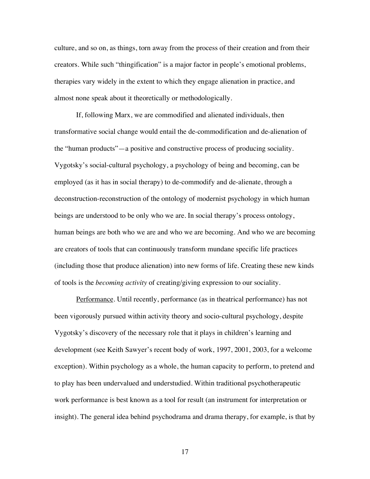culture, and so on, as things, torn away from the process of their creation and from their creators. While such "thingification" is a major factor in people's emotional problems, therapies vary widely in the extent to which they engage alienation in practice, and almost none speak about it theoretically or methodologically.

If, following Marx, we are commodified and alienated individuals, then transformative social change would entail the de-commodification and de-alienation of the "human products"—a positive and constructive process of producing sociality. Vygotsky's social-cultural psychology, a psychology of being and becoming, can be employed (as it has in social therapy) to de-commodify and de-alienate, through a deconstruction-reconstruction of the ontology of modernist psychology in which human beings are understood to be only who we are*.* In social therapy's process ontology, human beings are both who we are and who we are becoming. And who we are becoming are creators of tools that can continuously transform mundane specific life practices (including those that produce alienation) into new forms of life. Creating these new kinds of tools is the *becoming activity* of creating/giving expression to our sociality.

Performance. Until recently, performance (as in theatrical performance) has not been vigorously pursued within activity theory and socio-cultural psychology, despite Vygotsky's discovery of the necessary role that it plays in children's learning and development (see Keith Sawyer's recent body of work, 1997, 2001, 2003, for a welcome exception). Within psychology as a whole, the human capacity to perform, to pretend and to play has been undervalued and understudied. Within traditional psychotherapeutic work performance is best known as a tool for result (an instrument for interpretation or insight). The general idea behind psychodrama and drama therapy, for example, is that by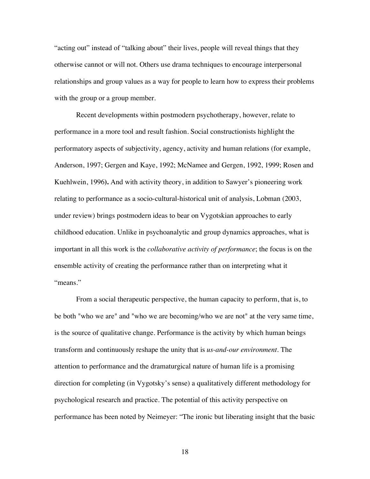"acting out" instead of "talking about" their lives, people will reveal things that they otherwise cannot or will not. Others use drama techniques to encourage interpersonal relationships and group values as a way for people to learn how to express their problems with the group or a group member.

Recent developments within postmodern psychotherapy, however, relate to performance in a more tool and result fashion. Social constructionists highlight the performatory aspects of subjectivity, agency, activity and human relations (for example, Anderson, 1997; Gergen and Kaye, 1992; McNamee and Gergen, 1992, 1999; Rosen and Kuehlwein, 1996**).** And with activity theory, in addition to Sawyer's pioneering work relating to performance as a socio-cultural-historical unit of analysis, Lobman (2003, under review) brings postmodern ideas to bear on Vygotskian approaches to early childhood education. Unlike in psychoanalytic and group dynamics approaches, what is important in all this work is the *collaborative activity of performance*; the focus is on the ensemble activity of creating the performance rather than on interpreting what it "means."

From a social therapeutic perspective, the human capacity to perform, that is, to be both "who we are" and "who we are becoming/who we are not" at the very same time, is the source of qualitative change. Performance is the activity by which human beings transform and continuously reshape the unity that is *us-and-our environment*. The attention to performance and the dramaturgical nature of human life is a promising direction for completing (in Vygotsky's sense) a qualitatively different methodology for psychological research and practice. The potential of this activity perspective on performance has been noted by Neimeyer: "The ironic but liberating insight that the basic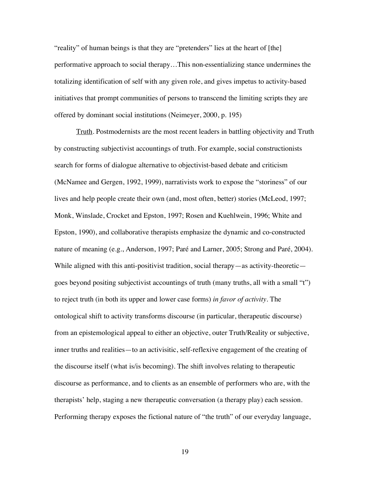"reality" of human beings is that they are "pretenders" lies at the heart of [the] performative approach to social therapy…This non-essentializing stance undermines the totalizing identification of self with any given role, and gives impetus to activity-based initiatives that prompt communities of persons to transcend the limiting scripts they are offered by dominant social institutions (Neimeyer, 2000, p. 195)

Truth. Postmodernists are the most recent leaders in battling objectivity and Truth by constructing subjectivist accountings of truth. For example, social constructionists search for forms of dialogue alternative to objectivist-based debate and criticism (McNamee and Gergen, 1992, 1999), narrativists work to expose the "storiness" of our lives and help people create their own (and, most often, better) stories (McLeod, 1997; Monk, Winslade, Crocket and Epston, 1997; Rosen and Kuehlwein, 1996; White and Epston, 1990), and collaborative therapists emphasize the dynamic and co-constructed nature of meaning (e.g., Anderson, 1997; Paré and Larner, 2005; Strong and Paré, 2004). While aligned with this anti-positivist tradition, social therapy—as activity-theoretic goes beyond positing subjectivist accountings of truth (many truths, all with a small "t") to reject truth (in both its upper and lower case forms) *in favor of activity*. The ontological shift to activity transforms discourse (in particular, therapeutic discourse) from an epistemological appeal to either an objective, outer Truth/Reality or subjective, inner truths and realities—to an activisitic, self-reflexive engagement of the creating of the discourse itself (what is/is becoming). The shift involves relating to therapeutic discourse as performance, and to clients as an ensemble of performers who are, with the therapists' help, staging a new therapeutic conversation (a therapy play) each session. Performing therapy exposes the fictional nature of "the truth" of our everyday language,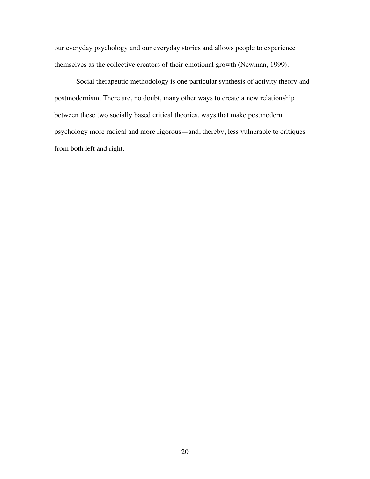our everyday psychology and our everyday stories and allows people to experience themselves as the collective creators of their emotional growth (Newman, 1999).

Social therapeutic methodology is one particular synthesis of activity theory and postmodernism. There are, no doubt, many other ways to create a new relationship between these two socially based critical theories, ways that make postmodern psychology more radical and more rigorous—and, thereby, less vulnerable to critiques from both left and right.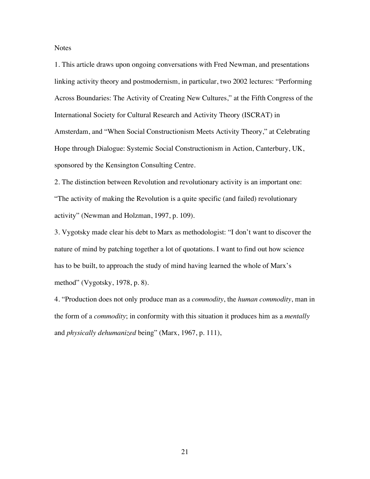**Notes** 

1. This article draws upon ongoing conversations with Fred Newman, and presentations linking activity theory and postmodernism, in particular, two 2002 lectures: "Performing Across Boundaries: The Activity of Creating New Cultures," at the Fifth Congress of the International Society for Cultural Research and Activity Theory (ISCRAT) in Amsterdam, and "When Social Constructionism Meets Activity Theory," at Celebrating Hope through Dialogue: Systemic Social Constructionism in Action, Canterbury, UK, sponsored by the Kensington Consulting Centre.

2. The distinction between Revolution and revolutionary activity is an important one: "The activity of making the Revolution is a quite specific (and failed) revolutionary activity" (Newman and Holzman, 1997, p. 109).

3. Vygotsky made clear his debt to Marx as methodologist: "I don't want to discover the nature of mind by patching together a lot of quotations. I want to find out how science has to be built, to approach the study of mind having learned the whole of Marx's method" (Vygotsky, 1978, p. 8).

4. "Production does not only produce man as a *commodity*, the *human commodity*, man in the form of a *commodity*; in conformity with this situation it produces him as a *mentally* and *physically dehumanized* being" (Marx, 1967, p. 111),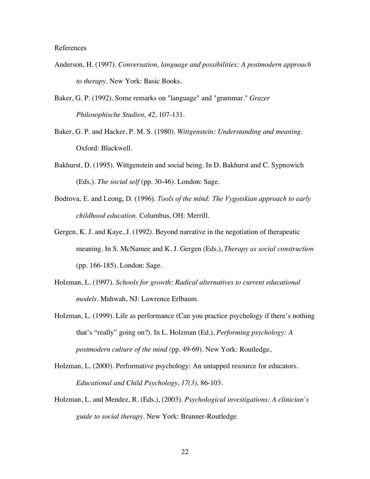References

- Anderson, H. (1997). *Conversation, language and possibilities: A postmodern approach to therapy.* New York: Basic Books.
- Baker, G. P. (1992). Some remarks on "language" and "grammar." *Grazer Philosophische Studien, 42,* 107-131.
- Baker, G. P. and Hacker, P. M. S. (1980). *Wittgenstein: Understanding and meaning.* Oxford: Blackwell.
- Bakhurst, D. (1995). Wittgenstein and social being. In D. Bakhurst and C. Sypnowich (Eds.). *The social self* (pp. 30-46). London: Sage.
- Bodrova, E. and Leong, D. (1996). *Tools of the mind: The Vygotskian approach to early childhood education.* Columbus, OH: Merrill.
- Gergen, K. J. and Kaye, J. (1992). Beyond narrative in the negotiation of therapeutic meaning. In S. McNamee and K. J. Gergen (Eds.), *Therapy as social construction* (pp. 166-185). London: Sage.
- Holzman, L. (1997). *Schools for growth: Radical alternatives to current educational models*. Mahwah, NJ: Lawrence Erlbaum.
- Holzman, L. (1999). Life as performance (Can you practice psychology if there's nothing that's "really" going on?). In L. Holzman (Ed.), *Performing psychology: A postmodern culture of the mind (*pp. 49-69). New York: Routledge,
- Holzman, L. (2000). Performative psychology: An untapped resource for educators. *Educational and Child Psychology*, *17(3),* 86-103.
- Holzman, L. and Mendez, R. (Eds.), (2003). *Psychological investigations: A clinician's guide to social therapy*. New York: Brunner-Routledge.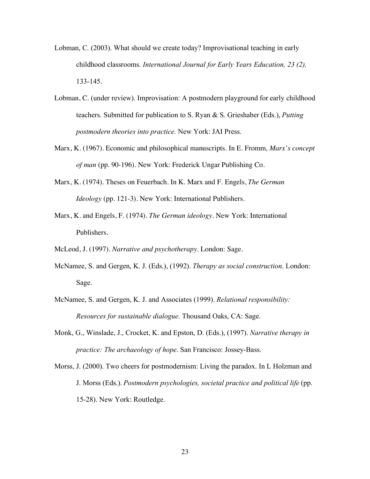- Lobman, C. (2003). What should we create today? Improvisational teaching in early childhood classrooms. *International Journal for Early Years Education, 23 (2),* 133-145.
- Lobman, C. (under review). Improvisation: A postmodern playground for early childhood teachers. Submitted for publication to S. Ryan & S. Grieshaber (Eds.), *Putting postmodern theories into practice.* New York: JAI Press.
- Marx, K. (1967). Economic and philosophical manuscripts. In E. Fromm*, Marx's concept of man* (pp. 90-196). New York: Frederick Ungar Publishing Co.
- Marx, K. (1974). Theses on Feuerbach. In K. Marx and F. Engels, *The German Ideology* (pp. 121-3). New York: International Publishers.
- Marx, K. and Engels, F. (1974). *The German ideology.* New York: International Publishers.
- McLeod, J. (1997). *Narrative and psychotherapy*. London: Sage.
- McNamee, S. and Gergen, K. J. (Eds.), (1992). *Therapy as social construction*. London: Sage.
- McNamee, S. and Gergen, K. J. and Associates (1999). *Relational responsibility: Resources for sustainable dialogue*. Thousand Oaks, CA: Sage.
- Monk, G., Winslade, J., Crocket, K. and Epston, D. (Eds.), (1997). *Narrative therapy in practice: The archaeology of hope*. San Francisco: Jossey-Bass.
- Morss, J. (2000). Two cheers for postmodernism: Living the paradox. In L Holzman and J. Morss (Eds.). *Postmodern psychologies, societal practice and political life* (pp. 15-28). New York: Routledge.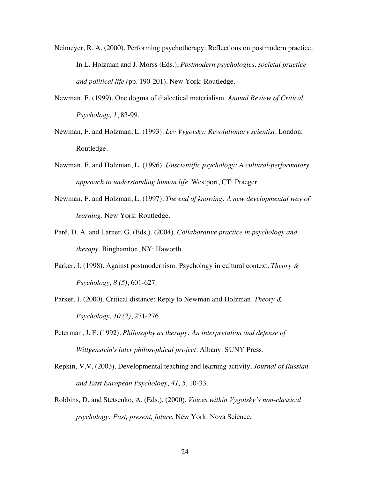- Neimeyer, R. A. (2000). Performing psychotherapy: Reflections on postmodern practice. In L. Holzman and J. Morss (Eds.), *Postmodern psychologies, societal practice and political life (*pp. 190-201). New York: Routledge.
- Newman, F. (1999). One dogma of dialectical materialism. *Annual Review of Critical Psychology, 1*, 83-99.
- Newman, F. and Holzman, L. (1993). *Lev Vygotsky: Revolutionary scientist.* London: Routledge.
- Newman, F. and Holzman, L. (1996). *Unscientific psychology: A cultural-performatory approach to understanding human life*. Westport, CT: Praeger.
- Newman, F. and Holzman, L. (1997). *The end of knowing: A new developmental way of learning*. New York: Routledge.
- Paré, D. A. and Larner, G. (Eds.), (2004). *Collaborative practice in psychology and therapy*. Binghamton, NY: Haworth.
- Parker, I. (1998). Against postmodernism: Psychology in cultural context. *Theory & Psychology, 8 (5)*, 601-627.
- Parker, I. (2000). Critical distance: Reply to Newman and Holzman. *Theory & Psychology, 10 (2)*, 271-276.
- Peterman, J. F. (1992). *Philosophy as therapy: An interpretation and defense of Wittgenstein's later philosophical project.* Albany: SUNY Press.
- Repkin, V.V. (2003). Developmental teaching and learning activity. *Journal of Russian and East European Psychology, 41, 5*, 10-33.
- Robbins, D. and Stetsenko, A. (Eds.). (2000). *Voices within Vygotsky's non-classical psychology: Past, present, future.* New York: Nova Science.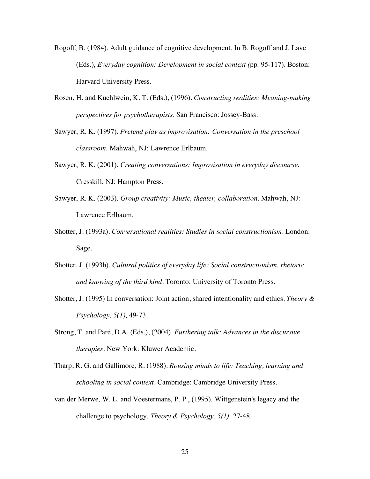- Rogoff, B. (1984). Adult guidance of cognitive development. In B. Rogoff and J. Lave (Eds.), *Everyday cognition: Development in social context (*pp. 95-117). Boston: Harvard University Press.
- Rosen, H. and Kuehlwein, K. T. (Eds.), (1996). *Constructing realities: Meaning-making perspectives for psychotherapists*. San Francisco: Jossey-Bass.
- Sawyer, R. K. (1997). *Pretend play as improvisation: Conversation in the preschool classroom*. Mahwah, NJ: Lawrence Erlbaum.
- Sawyer, R. K. (2001). *Creating conversations: Improvisation in everyday discourse*. Cresskill, NJ: Hampton Press.
- Sawyer, R. K. (2003). *Group creativity: Music, theater, collaboration*. Mahwah, NJ: Lawrence Erlbaum.
- Shotter, J. (1993a). *Conversational realities: Studies in social constructionism.* London: Sage.
- Shotter, J. (1993b). *Cultural politics of everyday life: Social constructionism, rhetoric and knowing of the third kind.* Toronto: University of Toronto Press.
- Shotter, J. (1995) In conversation: Joint action, shared intentionality and ethics. *Theory & Psychology, 5(1),* 49-73.
- Strong, T. and Paré, D.A. (Eds.), (2004). *Furthering talk: Advances in the discursive therapies*. New York: Kluwer Academic.
- Tharp, R. G. and Gallimore, R. (1988). *Rousing minds to life: Teaching, learning and schooling in social context.* Cambridge: Cambridge University Press.
- van der Merwe, W. L. and Voestermans, P. P., (1995). Wittgenstein's legacy and the challenge to psychology. *Theory & Psychology, 5(1),* 27-48.